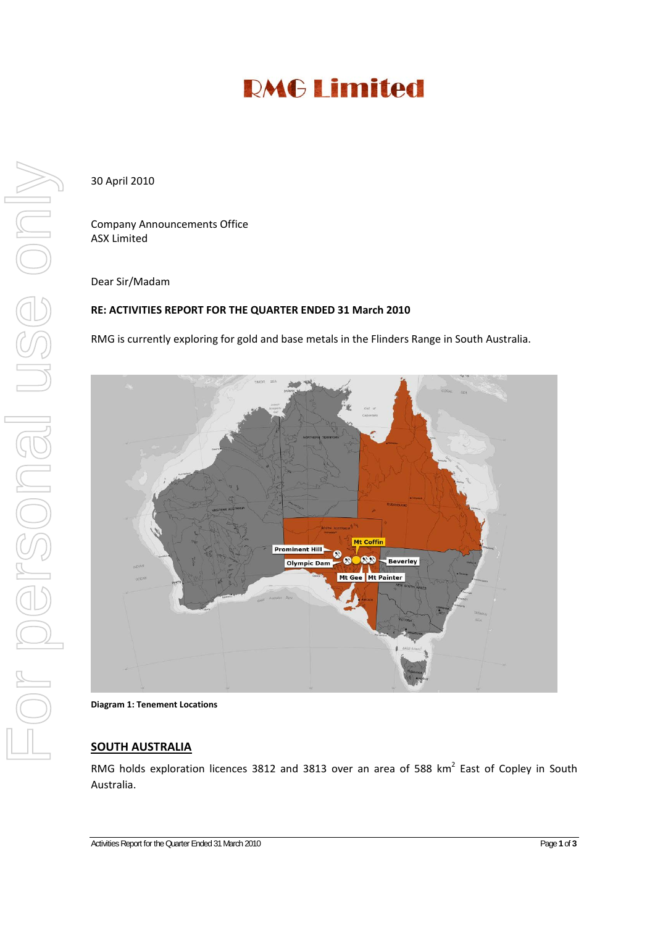# **RMG Limited**

30 April 2010

Company Announcements Office ASX Limited

#### Dear Sir/Madam

## **RE: ACTIVITIES REPORT FOR THE QUARTER ENDED 31 March 2010**

RMG is currently exploring for gold and base metals in the Flinders Range in South Australia.



**Diagram 1: Tenement Locations**

### **SOUTH AUSTRALIA**

RMG holds exploration licences 3812 and 3813 over an area of 588 km<sup>2</sup> East of Copley in South Australia.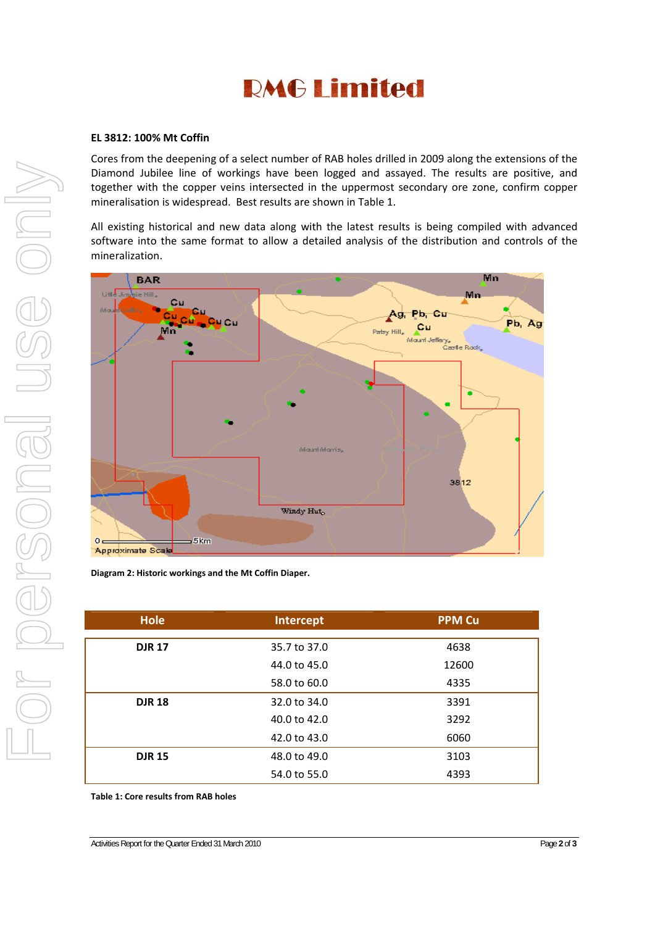# **RMG Limited**

### **EL 3812: 100% Mt Coffin**

Cores from the deepening of a select number of RAB holes drilled in 2009 along the extensions of the Diamond Jubilee line of workings have been logged and assayed. The results are positive, and together with the copper veins intersected in the uppermost secondary ore zone, confirm copper mineralisation is widespread. Best results are shown in Table 1.

All existing historical and new data along with the latest results is being compiled with advanced software into the same format to allow a detailed analysis of the distribution and controls of the mineralization.



**Diagram 2: Historic workings and the Mt Coffin Diaper.**

| <b>Hole</b>   | Intercept    | <b>PPM Cu</b> |
|---------------|--------------|---------------|
|               |              |               |
| <b>DJR 17</b> | 35.7 to 37.0 | 4638          |
|               | 44.0 to 45.0 | 12600         |
|               | 58.0 to 60.0 | 4335          |
| <b>DJR 18</b> | 32.0 to 34.0 | 3391          |
|               | 40.0 to 42.0 | 3292          |
|               | 42.0 to 43.0 | 6060          |
| <b>DJR 15</b> | 48.0 to 49.0 | 3103          |
|               | 54.0 to 55.0 | 4393          |

**Table 1: Core results from RAB holes**